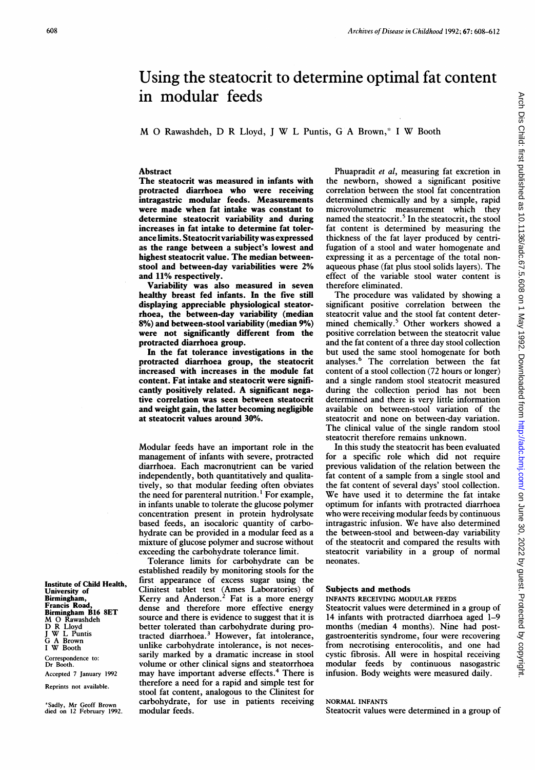# Using the steatocrit to determine optimal fat content in modular feeds

M 0 Rawashdeh, D <sup>R</sup> Lloyd, <sup>J</sup> W <sup>L</sup> Puntis, <sup>G</sup> A Brown,' <sup>I</sup> W Booth

## Abstract

The steatocrit was measured in infants with protracted diarrhoea who were receiving intragastric modular feeds. Measurements were made when fat intake was constant to determine steatocrit variability and during increases in fat intake to determine fat tolerance limits. Steatocrit variability was expressed as the range between a subject's lowest and highest steatocrit value. The median betweenstool and between-day variabilities were 2% and 11% respectively.

Variability was also measured in seven healthy breast fed infants. In the five still displaying appreciable physiological steatorrhoea, the between-day variability (median 8%) and between-stool variability (median 9%) were not significantly different from the protracted diarrhoea group.

In the fat tolerance investigations in the protracted diarrhoea group, the steatocrit increased with increases in the module fat content. Fat intake and steatocrit were significantly positively related. A significant negative correlation was seen between steatocrit and weight gain, the latter becoming negligible at steatocrit values around 30%.

Modular feeds have an important role in the management of infants with severe, protracted diarrhoea. Each macronutrient can be varied independently, both quantitatively and qualitatively, so that modular feeding often obviates the need for parenteral nutrition. ' For example, in infants unable to tolerate the glucose polymer concentration present in protein hydrolysate based feeds, an isocaloric quantity of carbohydrate can be provided in a modular feed as a mixture of glucose polymer and sucrose without exceeding the carbohydrate tolerance limit.

Tolerance limits for carbohydrate can be established readily by monitoring stools for the first appearance of excess sugar using the Clinitest tablet test (Ames Laboratories) of Kerry and Anderson.2 Fat is a more energy dense and therefore more effective energy source and there is evidence to suggest that it is better tolerated than carbohydrate during protracted diarrhoea.<sup>3</sup> However, fat intolerance, unlike carbohydrate intolerance, is not necessarily marked by a dramatic increase in stool volume or other clinical signs and steatorrhoea may have important adverse effects.<sup>4</sup> There is therefore a need for a rapid and simple test for stool fat content, analogous to the Clinitest for carbohydrate, for use in patients receiving modular feeds.

Phuapradit et al, measuring fat excretion in the newborn, showed a significant positive correlation between the stool fat concentration determined chemically and by a simple, rapid microvolumetric measurement which they named the steatocrit.<sup>5</sup> In the steatocrit, the stool fat content is determined by measuring the thickness of the fat layer produced by centrifugation of a stool and water homogenate and expressing it as a percentage of the total nonaqueous phase (fat plus stool solids layers). The effect of the variable stool water content is therefore eliminated.

The procedure was validated by showing <sup>a</sup> significant positive correlation between the steatocrit value and the stool fat content determined chemically.<sup>3</sup> Other workers showed a positive correlation between the steatocrit value and the fat content of a three day stool collection but used the same stool homogenate for both analyses.6 The correlation between the fat content of a stool collection (72 hours or longer) and a single random stool steatocrit measured during the collection period has not been determined and there is very little information available on between-stool variation of the steatocrit and none on between-day variation. The clinical value of the single random stool steatocrit therefore remains unknown.

In this study the steatocrit has been evaluated for a specific role which did not require previous validation of the relation between the fat content of a sample from a single stool and the fat content of several days' stool collection. We have used it to determine the fat intake optimum for infants with protracted diarrhoea who were receiving modular feeds by continuous intragastric infusion. We have also determined the between-stool and between-day variability of the steatocrit and compared the results with steatocrit variability in a group of normal neonates.

## Subjects and methods

#### INFANTS RECEIVING MODULAR FEEDS

Steatocrit values were determined in a group of 14 infants with protracted diarrhoea aged 1-9 months (median 4 months). Nine had postgastroenteritis syndrome, four were recovering from necrotising enterocolitis, and one had cystic fibrosis. All were in hospital receiving modular feeds by continuous nasogastric infusion. Body weights were measured daily.

## NORMAL INFANTS

Steatocrit values were determined in a group of

Institute of Child Health, University of Birmingham, Francis Road, Birmingham B16 8ET M 0 Rawashdeh D R Lloyd <sup>J</sup> W <sup>L</sup> Puntis G A Brown <sup>I</sup> W Booth Correspondence to:

Dr Booth. Accepted 7 January 1992

Reprints not available.

"Sadly, Mr Geoff Brown died on 12 February 1992.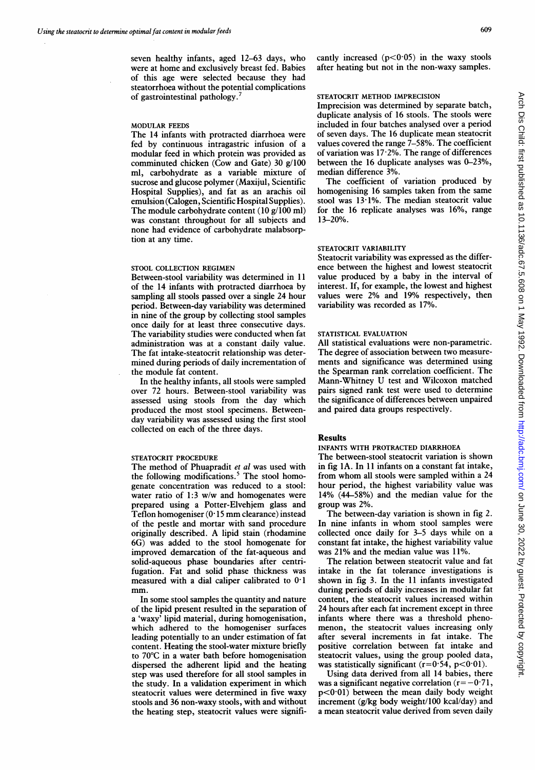seven healthy infants, aged 12-63 days, who were at home and exclusively breast fed. Babies of this age were selected because they had steatorrhoea without the potential complications of gastrointestinal pathology.7

# MODULAR FEEDS

The 14 infants with protracted diarrhoea were fed by continuous intragastric infusion of a modular feed in which protein was provided as comminuted chicken (Cow and Gate) 30 g/100 ml, carbohydrate as a variable mixture of sucrose and glucose polymer (Maxijul, Scientific Hospital Supplies), and fat as an arachis oil emulsion (Calogen, Scientific Hospital Supplies). The module carbohydrate content (10 g/100 ml) was constant throughout for all subjects and none had evidence of carbohydrate malabsorption at any time.

# STOOL COLLECTION REGIMEN

Between-stool variability was determined in 11 of the 14 infants with protracted diarrhoea by sampling all stools passed over a single 24 hour period. Between-day variability was determined in nine of the group by collecting stool samples once daily for at least three consecutive days. The variability studies were conducted when fat administration was at a constant daily value. The fat intake-steatocrit relationship was determined during periods of daily incrementation of the module fat content.

In the healthy infants, all stools were sampled over 72 hours. Between-stool variability was assessed using stools from the day which produced the most stool specimens. Betweenday variability was assessed using the first stool collected on each of the three days.

## STEATOCRIT PROCEDURE

The method of Phuapradit et al was used with the following modifications.<sup>5</sup> The stool homogenate concentration was reduced to a stool: water ratio of 1:3 w/w and homogenates were prepared using a Potter-Elvehjem glass and Teflon homogeniser  $(0.15$  mm clearance) instead of the pestle and mortar with sand procedure originally described. A lipid stain (rhodamine 6G) was added to the stool homogenate for improved demarcation of the fat-aqueous and solid-aqueous phase boundaries after centrifugation. Fat and solid phase thickness was measured with a dial caliper calibrated to 0-1 mm.

In some stool samples the quantity and nature of the lipid present resulted in the separation of a 'waxy' lipid material, during homogenisation, which adhered to the homogeniser surfaces leading potentially to an under estimation of fat content. Heating the stool-water mixture briefly to 70°C in a water bath before homogenisation dispersed the adherent lipid and the heating step was used therefore for all stool samples in the study. In a validation experiment in which steatocrit values were determined in five waxy stools and 36 non-waxy stools, with and without the heating step, steatocrit values were signifi-

cantly increased  $(p<0.05)$  in the waxy stools after heating but not in the non-waxy samples.

# STEATOCRIT METHOD IMPRECISION

Imprecision was determined by separate batch, duplicate analysis of 16 stools. The stools were included in four batches analysed over a period of seven days. The 16 duplicate mean steatocrit values covered the range 7-58%. The coefficient of variation was  $17.2\%$ . The range of differences between the 16 duplicate analyses was 0-23%, median difference 3%.

The coefficient of variation produced by homogenising 16 samples taken from the same stool was  $13.1\%$ . The median steatocrit value for the 16 replicate analyses was 16%, range 13-20%.

# STEATOCRIT VARIABILITY

Steatocrit variability was expressed as the difference between the highest and lowest steatocrit value produced by a baby in the interval of interest. If, for example, the lowest and highest values were 2% and 19% respectively, then variability was recorded as 17%.

## STATISTICAL EVALUATION

All statistical evaluations were non-parametric. The degree of association between two measurements and significance was determined using the Spearman rank correlation coefficient. The Mann-Whitney U test and Wilcoxon matched pairs signed rank test were used to determine the significance of differences between unpaired and paired data groups respectively.

## Results

## INFANTS WITH PROTRACTED DIARRHOEA

The between-stool steatocrit variation is shown in fig IA. In 11 infants on a constant fat intake, from whom all stools were sampled within <sup>a</sup> 24 hour period, the highest variability value was 14% (44-58%) and the median value for the group was 2%.

The between-day variation is shown in fig 2. In nine infants in whom stool samples were collected once daily for 3-5 days while on a constant fat intake, the highest variability value was 21% and the median value was 11%.

The relation between steatocrit value and fat intake in the fat tolerance investigations is shown in fig 3. In the 11 infants investigated during periods of daily increases in modular fat content, the steatocrit values increased within 24 hours after each fat increment except in three infants where there was a threshold phenomenon, the steatocrit values increasing only<br>after several increments in fat intake. The after several increments in fat intake. positive correlation between fat intake and steatocrit values, using the group pooled data, was statistically significant  $(r=0.54, p<0.01)$ .

Using data derived from all 14 babies, there was a significant negative correlation  $(r=-0.71,$  $p<0.01$ ) between the mean daily body weight increment (g/kg body weight/100 kcal/day) and a mean steatocrit value derived from seven daily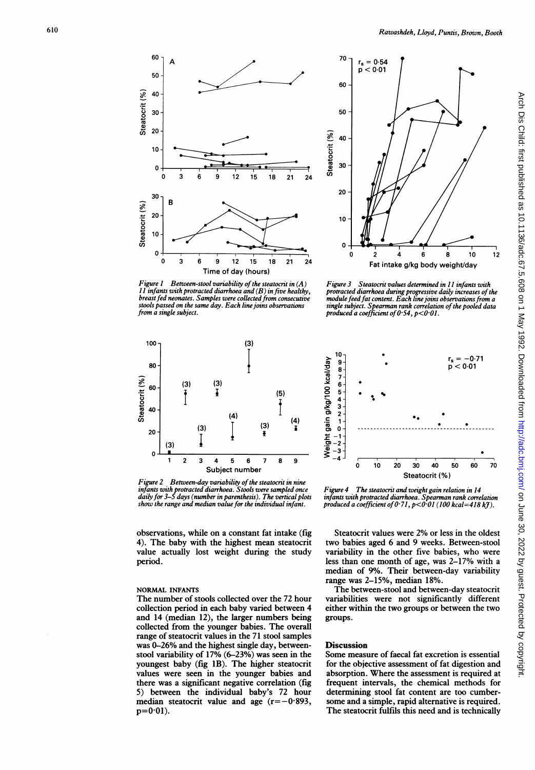

**F** igure 1 Between-stool variability of the steatocrit in  $(A)$ 11 infants with protracted diarrhoea and (B) in five healthy, breast fed neonates. Samples were collected from consecutive stools passed on the same day. Each line joins observations from a single subject.



Figure 2 Between-day variability of the steatocrit in nine infants with protracted diarrhoea. Stools were sampled once daily for 3-5 days (number in parenthesis). The vertical plots show the range and median value for the individual infant.

observations, while on a constant fat intake (fig 4). The baby with the highest mean steatocrit value actually lost weight during the study period.

## NORMAL INFANTS

The number of stools collected over the 72 hour collection period in each baby varied between 4 and 14 (median 12), the larger numbers being collected from the younger babies. The overall range of steatocrit values in the 71 stool samples was 0-26% and the highest single day, betweenstool variability of 17% (6-23%) was seen in the youngest baby (fig IB). The higher steatocrit values were seen in the younger babies and there was a significant negative correlation (fig 5) between the individual baby's 72 hour median steatocrit value and age  $(r=-0.893)$ ,  $p=0.01$ ).



Figure 3 Steatocrit values determined in 11 infants with protracted diarrhoea during progressive daily increases of the<br>module feed fat content. Each line joins observations from a<br>single subject. Spearman rank correlation of the pooled data produced a coefficient of  $0.54$ ,  $p < 0.01$ .



Figure 4 The steatocrit and weight gain relation in 14 infants with protracted diarrhoea. Spearman rank correlation produced a coefficient of 0 71, p<001 (100 kcal=418 kJ).

Steatocrit values were 2% or less in the oldest two babies aged 6 and 9 weeks. Between-stool variability in the other five babies, who were less than one month of age, was 2-17% with a median of 9%. Their between-day variability range was 2-15%, median 18%.

The between-stool and between-day steatocrit variabilities were not significantly different either within the two groups or between the two groups.

# **Discussion**

Some measure of faecal fat excretion is essential for the objective assessment of fat digestion and absorption. Where the assessment is required at frequent intervals, the chemical methods for determining stool fat content are too cumbersome and a simple, rapid alternative is required. The steatocrit fulfils this need and is technically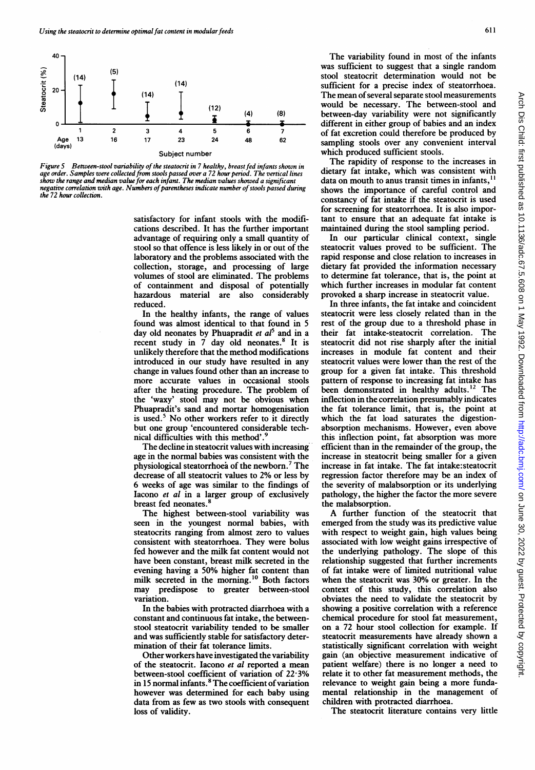

Figure 5 Between-stool variability of the steatocrit in 7 healthy, breast fed infants shown in The rapidity of response to the increases in age order. Samples were collected from stools passed over a 72 hour period. The vertical lines dietary fat intake, which was consistent with show the range and median value for each infant. The median values showed a significant negative correlation with age. Numbers of parentheses indicate number of stools passed during the 72 hour collection.

satisfactory for infant stools with the modifications described. It has the further important advantage of requiring only a small quantity of stool so that offence is less likely in or out of the laboratory and the problems associated with the collection, storage, and processing of large volumes of stool are eliminated. The problems of containment and disposal of potentially hazardous reduced.

In the healthy infants, the range of values found was almost identical to that found in 5 day old neonates by Phuapradit et  $a^{5}$  and in a recent study in  $7$  day old neonates.<sup>8</sup> It is unlikely therefore that the method modifications introduced in our study have resulted in any change in values found other than an increase to more accurate values in occasional stools after the heating procedure. The problem of the 'waxy 'Phuapradit's sand and mortar homogenisation is used.<sup>5</sup> No other workers refer to it directly but one group 'encountered considerable technical difficulties with this method'.

The decline in steatocrit values with increasing age in the normal babies was consistent with the physiological steatorrhoea of the newborn.<sup>7</sup> The decrease of all steatocrit values to 2% or less by 6 weeks of age was similar to the findings of Iacono et al in a larger group of exclusively breast fed neonates.<sup>8</sup>

The highest between-stool variability was seen in the youngest normal babies, with steatocrits ranging from almost zero to values consistent with steatorrhoea. They were bolus fed however and the milk fat content would not have been constant, breast milk secreted in the evening having a 50% higher fat content than milk secreted in the morning.<sup>10</sup> Both factors may predispose to greater between-stool variation.

In the babies with protracted diarrhoea with a constant and continuous fat intake, the betweenstool steatocrit variability tended to be smaller and was sufficiently stable for satisfactory determination of their fat tolerance limits.

Other workers have investigated the variability of the steatocrit. Iacono et al reported a mean between-stool coefficient of variation of 22.3% in 15 normal infants.<sup>8</sup> The coefficient of variation however was determined for each baby using data from as few as two stools with consequent children with protracted diarrhoea. loss of validity.

The variability found in most of the infants was sufficient to suggest that <sup>a</sup> single random stool steatocrit determination would not be (14) sufficient for a precise index of steatorrhoea. The mean of several separate stool measurements (12) would be necessary. The between-stool and<br>
(4) (8) between-day variability were not significantly (4) (8) between-day variability were not significantly  $\overline{5}$  different in either group of babies and an index<br> $\overline{7}$  of fat exerction could therefore be produced by 4 5 6 7 of fat excretion could therefore be produced by<br>23 24 48 62 senative steels sure any sensusiant interval sampling stools over any convenient interval which produced sufficient stools.<br>The rapidity of response to the increases in

data on mouth to anus transit times in infants,  $<sup>11</sup>$ </sup> shows the importance of careful control and constancy of fat intake if the steatocrit is used for screening for steatorrhoea. It is also important to ensure that an adequate fat intake is maintained during the stool sampling period.

In our particular clinical context, single steatocrit values proved to be sufficient. The rapid response and close relation to increases in dietary fat provided the information necessary to determine fat tolerance, that is, the point at which further increases in modular fat content material are also considerably provoked a sharp increase in steatocrit value.

In three infants, the fat intake and coincident steatocrit were less closely related than in the rest of the group due to a threshold phase in their fat intake-steatocrit correlation. The steatocrit did not rise sharply after the initial increases in module fat content and their steatocrit values were lower than the rest of the group for a given fat intake. This threshold pattern of response to increasing fat intake has been demonstrated in healthy adults.<sup>12</sup> The inflection in the correlation presumably indicates the fat tolerance limit, that is, the point at which the fat load saturates the digestionabsorption mechanisms. However, even above this inflection point, fat absorption was more efficient than in the remainder of the group, the increase in steatocrit being smaller for a given increase in fat intake. The fat intake: steatocrit regression factor therefore may be an index of the severity of malabsorption or its underlying pathology, the higher the factor the more severe the malabsorption.

A further function of the steatocrit that emerged from the study was its predictive value with respect to weight gain, high values being associated with low weight gains irrespective of the underlying pathology. The slope of this relationship suggested that further increments of fat intake were of limited nutritional value when the steatocrit was 30% or greater. In the context of this study, this correlation also obviates the need to validate the steatocrit by showing a positive correlation with a reference chemical procedure for stool fat measurement, on a 72 hour stool collection for example. If steatocrit measurements have already shown a statistically significant correlation with weight gain (an objective measurement indicative of patient welfare) there is no longer a need to relate it to other fat measurement methods, the relevance to weight gain being a more fundamental relationship in the management of children with protracted diarrhoea.

The steatocrit literature contains very little